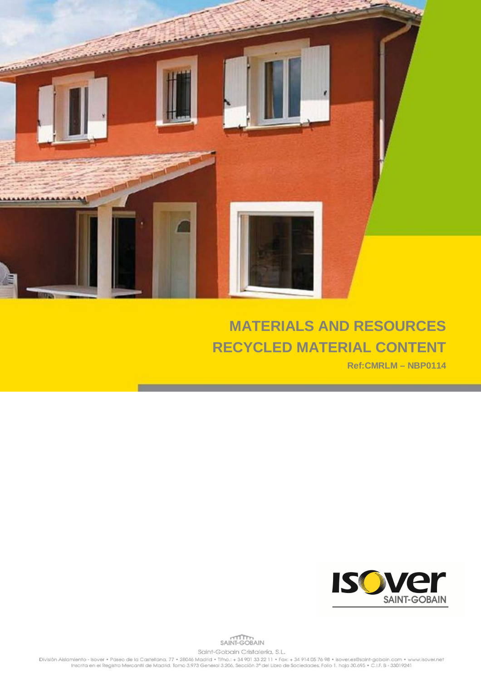

## **MATERIALS AND RESOURCES RECYCLED MATERIAL CONTENT**

**Ref:CMRLM – NBP0114**



## SAINT-GOBAIN Saint-Gobain Cristalería, S.L.

División Alslamiento - Isover • Paseo de la Castellana, 77 • 28046 Madrid • Tlfno.: + 34 901 33 22 11 • Fax: + 34 914 05 76 98 • Isover.es@saint-gobain.com • www.isover.net<br>Inscrita en el Registro Mercantil de Madrid, Tomo